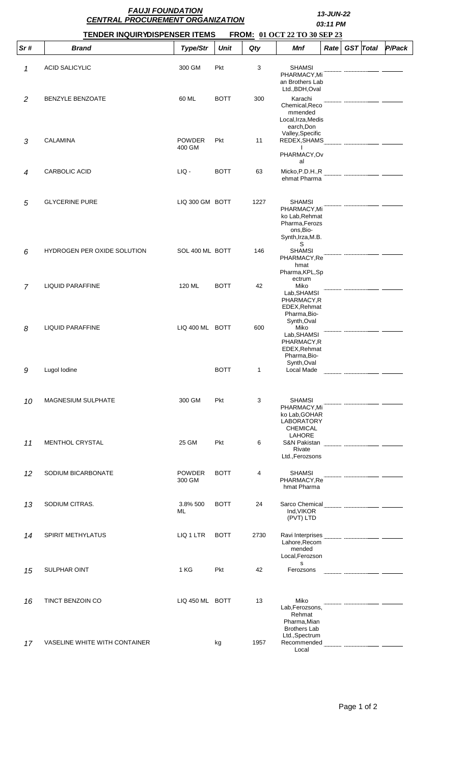|                | <b>FAUJI FOUNDATION</b><br><b>CENTRAL PROCUREMENT ORGANIZATION</b> | 13-JUN-22<br>03:11 PM        |             |              |                                                                                                         |                  |        |
|----------------|--------------------------------------------------------------------|------------------------------|-------------|--------------|---------------------------------------------------------------------------------------------------------|------------------|--------|
|                | <b>TENDER INQUIRYDISPENSER ITEMS</b>                               | FROM: 01 OCT 22 TO 30 SEP 23 |             |              |                                                                                                         |                  |        |
| Sr#            | <b>Brand</b>                                                       | Type/Str                     | <b>Unit</b> | Qty          | Mnf<br>Rate                                                                                             | <b>GST</b> Total | P/Pack |
| 1              | <b>ACID SALICYLIC</b>                                              | 300 GM                       | Pkt         | 3            | <b>SHAMSI</b><br>PHARMACY, Mi<br>an Brothers Lab<br>Ltd., BDH, Oval                                     |                  |        |
| 2              | <b>BENZYLE BENZOATE</b>                                            | 60 ML                        | <b>BOTT</b> | 300          | Karachi<br>Chemical, Reco<br>mmended<br>Local, Irza, Medis<br>earch, Don<br>Valley, Specific            |                  |        |
| 3              | <b>CALAMINA</b>                                                    | <b>POWDER</b><br>400 GM      | Pkt         | 11           | REDEX, SHAMS<br>PHARMACY, Ov<br>al                                                                      |                  |        |
| 4              | <b>CARBOLIC ACID</b>                                               | LIQ -                        | <b>BOTT</b> | 63           | Micko, P.D.H., R<br>ehmat Pharma                                                                        |                  |        |
| 5              | <b>GLYCERINE PURE</b>                                              | LIQ 300 GM BOTT              |             | 1227         | <b>SHAMSI</b><br>PHARMACY, Mi<br>ko Lab, Rehmat<br>Pharma, Ferozs<br>ons, Bio-<br>Synth, Irza, M.B.     |                  |        |
| 6              | HYDROGEN PER OXIDE SOLUTION                                        | SOL 400 ML BOTT              |             | 146          | S<br><b>SHAMSI</b><br>PHARMACY,Re<br>hmat<br>Pharma, KPL, Sp                                            |                  |        |
| $\overline{7}$ | LIQUID PARAFFINE                                                   | 120 ML                       | <b>BOTT</b> | 42           | ectrum<br>Miko<br>Lab, SHAMSI<br>PHARMACY.R<br>EDEX, Rehmat<br>Pharma, Bio-                             |                  |        |
| 8              | <b>LIQUID PARAFFINE</b>                                            | LIQ 400 ML BOTT              |             | 600          | Synth, Oval<br>Miko<br>Lab, SHAMSI<br>PHARMACY,R<br>EDEX, Rehmat<br>Pharma, Bio-                        |                  |        |
| 9              | Lugol Iodine                                                       |                              | <b>BOTT</b> | $\mathbf{1}$ | Synth, Oval<br>Local Made                                                                               |                  |        |
| 10             | MAGNESIUM SULPHATE                                                 | 300 GM                       | Pkt         | 3            | <b>SHAMSI</b><br>PHARMACY, Mi<br>ko Lab, GOHAR<br><b>LABORATORY</b><br><b>CHEMICAL</b><br><b>LAHORE</b> |                  |        |
| 11             | MENTHOL CRYSTAL                                                    | 25 GM                        | <b>Pkt</b>  | 6            | S&N Pakistan<br>Rivate<br>Ltd., Ferozsons                                                               |                  |        |
| 12             | SODIUM BICARBONATE                                                 | <b>POWDER</b><br>300 GM      | <b>BOTT</b> | 4            | <b>SHAMSI</b><br>PHARMACY, Re<br>hmat Pharma                                                            |                  |        |
| 13             | SODIUM CITRAS.                                                     | 3.8% 500<br>ML               | <b>BOTT</b> | 24           | Ind, VIKOR<br>(PVT) LTD                                                                                 |                  |        |
| 14             | SPIRIT METHYLATUS                                                  | LIQ 1 LTR                    | <b>BOTT</b> | 2730         | Lahore, Recom<br>mended<br>Local, Ferozson<br>s                                                         |                  |        |
| 15             | <b>SULPHAR OINT</b>                                                | 1 KG                         | Pkt         | 42           | Ferozsons                                                                                               |                  |        |
| 16             | TINCT BENZOIN CO                                                   | LIQ 450 ML BOTT              |             | 13           | Miko<br>Lab, Ferozsons,<br>Rehmat<br>Pharma, Mian<br><b>Brothers Lab</b>                                |                  |        |
| 17             | VASELINE WHITE WITH CONTAINER                                      |                              | kg          | 1957         | Ltd., Spectrum<br>Local                                                                                 |                  |        |